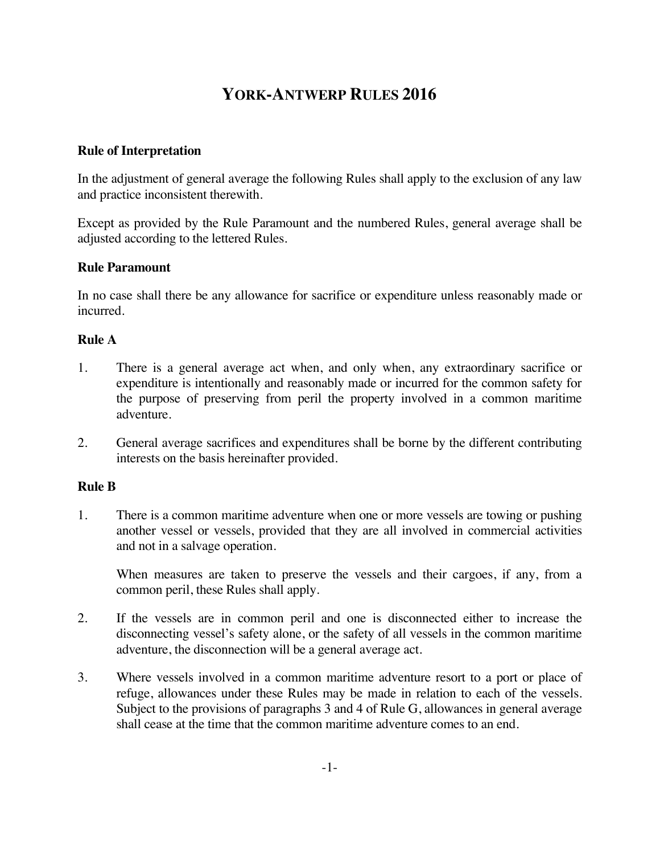# **YORK-ANTWERP RULES 2016**

#### **Rule of Interpretation**

In the adjustment of general average the following Rules shall apply to the exclusion of any law and practice inconsistent therewith.

Except as provided by the Rule Paramount and the numbered Rules, general average shall be adjusted according to the lettered Rules.

#### **Rule Paramount**

In no case shall there be any allowance for sacrifice or expenditure unless reasonably made or incurred.

#### **Rule A**

- 1. There is a general average act when, and only when, any extraordinary sacrifice or expenditure is intentionally and reasonably made or incurred for the common safety for the purpose of preserving from peril the property involved in a common maritime adventure.
- 2. General average sacrifices and expenditures shall be borne by the different contributing interests on the basis hereinafter provided.

#### **Rule B**

1. There is a common maritime adventure when one or more vessels are towing or pushing another vessel or vessels, provided that they are all involved in commercial activities and not in a salvage operation.

 When measures are taken to preserve the vessels and their cargoes, if any, from a common peril, these Rules shall apply.

- 2. If the vessels are in common peril and one is disconnected either to increase the disconnecting vessel's safety alone, or the safety of all vessels in the common maritime adventure, the disconnection will be a general average act.
- 3. Where vessels involved in a common maritime adventure resort to a port or place of refuge, allowances under these Rules may be made in relation to each of the vessels. Subject to the provisions of paragraphs 3 and 4 of Rule G, allowances in general average shall cease at the time that the common maritime adventure comes to an end.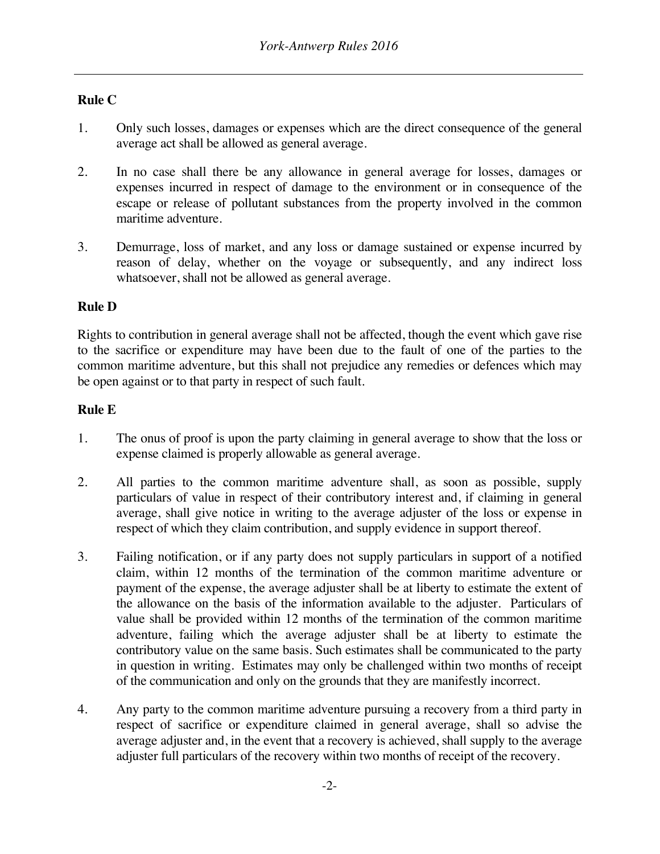### **Rule C**

- 1. Only such losses, damages or expenses which are the direct consequence of the general average act shall be allowed as general average.
- 2. In no case shall there be any allowance in general average for losses, damages or expenses incurred in respect of damage to the environment or in consequence of the escape or release of pollutant substances from the property involved in the common maritime adventure.
- 3. Demurrage, loss of market, and any loss or damage sustained or expense incurred by reason of delay, whether on the voyage or subsequently, and any indirect loss whatsoever, shall not be allowed as general average.

### **Rule D**

Rights to contribution in general average shall not be affected, though the event which gave rise to the sacrifice or expenditure may have been due to the fault of one of the parties to the common maritime adventure, but this shall not prejudice any remedies or defences which may be open against or to that party in respect of such fault.

### **Rule E**

- 1. The onus of proof is upon the party claiming in general average to show that the loss or expense claimed is properly allowable as general average.
- 2. All parties to the common maritime adventure shall, as soon as possible, supply particulars of value in respect of their contributory interest and, if claiming in general average, shall give notice in writing to the average adjuster of the loss or expense in respect of which they claim contribution, and supply evidence in support thereof.
- 3. Failing notification, or if any party does not supply particulars in support of a notified claim, within 12 months of the termination of the common maritime adventure or payment of the expense, the average adjuster shall be at liberty to estimate the extent of the allowance on the basis of the information available to the adjuster. Particulars of value shall be provided within 12 months of the termination of the common maritime adventure, failing which the average adjuster shall be at liberty to estimate the contributory value on the same basis. Such estimates shall be communicated to the party in question in writing. Estimates may only be challenged within two months of receipt of the communication and only on the grounds that they are manifestly incorrect.
- 4. Any party to the common maritime adventure pursuing a recovery from a third party in respect of sacrifice or expenditure claimed in general average, shall so advise the average adjuster and, in the event that a recovery is achieved, shall supply to the average adjuster full particulars of the recovery within two months of receipt of the recovery.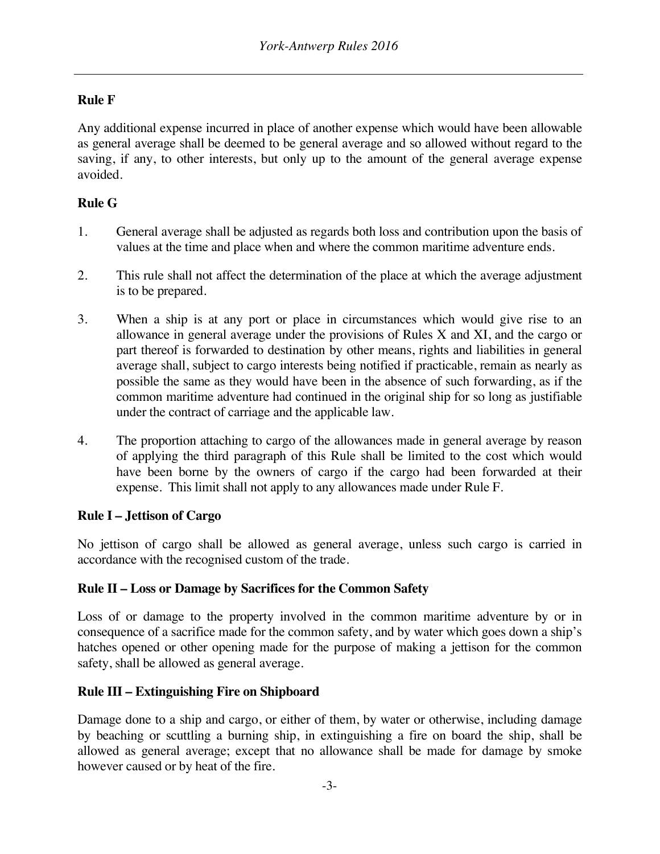# **Rule F**

Any additional expense incurred in place of another expense which would have been allowable as general average shall be deemed to be general average and so allowed without regard to the saving, if any, to other interests, but only up to the amount of the general average expense avoided.

# **Rule G**

- 1. General average shall be adjusted as regards both loss and contribution upon the basis of values at the time and place when and where the common maritime adventure ends.
- 2. This rule shall not affect the determination of the place at which the average adjustment is to be prepared.
- 3. When a ship is at any port or place in circumstances which would give rise to an allowance in general average under the provisions of Rules X and XI, and the cargo or part thereof is forwarded to destination by other means, rights and liabilities in general average shall, subject to cargo interests being notified if practicable, remain as nearly as possible the same as they would have been in the absence of such forwarding, as if the common maritime adventure had continued in the original ship for so long as justifiable under the contract of carriage and the applicable law.
- 4. The proportion attaching to cargo of the allowances made in general average by reason of applying the third paragraph of this Rule shall be limited to the cost which would have been borne by the owners of cargo if the cargo had been forwarded at their expense. This limit shall not apply to any allowances made under Rule F.

# **Rule I – Jettison of Cargo**

No jettison of cargo shall be allowed as general average, unless such cargo is carried in accordance with the recognised custom of the trade.

# **Rule II – Loss or Damage by Sacrifices for the Common Safety**

Loss of or damage to the property involved in the common maritime adventure by or in consequence of a sacrifice made for the common safety, and by water which goes down a ship's hatches opened or other opening made for the purpose of making a jettison for the common safety, shall be allowed as general average.

# **Rule III – Extinguishing Fire on Shipboard**

Damage done to a ship and cargo, or either of them, by water or otherwise, including damage by beaching or scuttling a burning ship, in extinguishing a fire on board the ship, shall be allowed as general average; except that no allowance shall be made for damage by smoke however caused or by heat of the fire.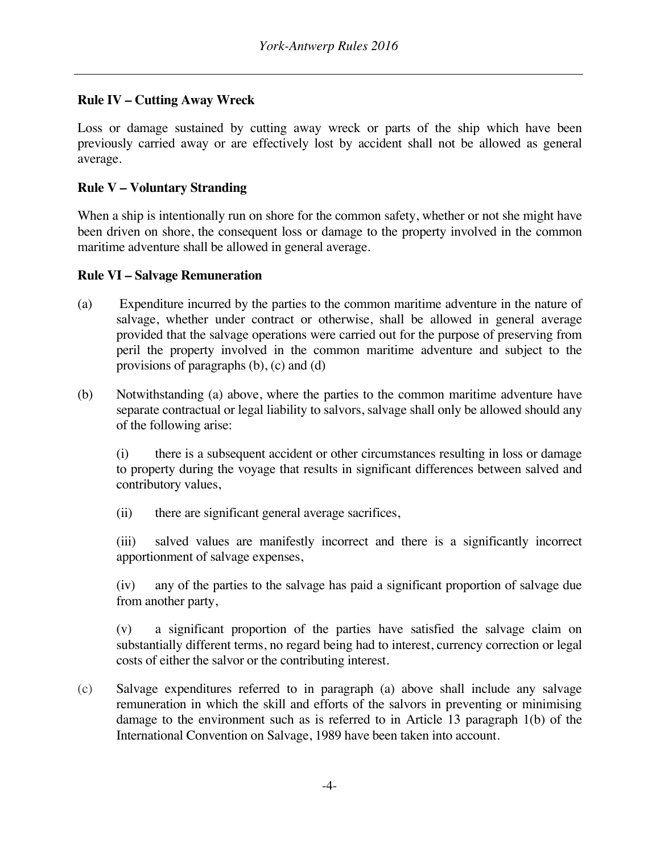# **Rule IV – Cutting Away Wreck**

Loss or damage sustained by cutting away wreck or parts of the ship which have been previously carried away or are effectively lost by accident shall not be allowed as general average.

### **Rule V – Voluntary Stranding**

When a ship is intentionally run on shore for the common safety, whether or not she might have been driven on shore, the consequent loss or damage to the property involved in the common maritime adventure shall be allowed in general average.

### **Rule VI – Salvage Remuneration**

- (a) Expenditure incurred by the parties to the common maritime adventure in the nature of salvage, whether under contract or otherwise, shall be allowed in general average provided that the salvage operations were carried out for the purpose of preserving from peril the property involved in the common maritime adventure and subject to the provisions of paragraphs (b), (c) and (d)
- (b) Notwithstanding (a) above, where the parties to the common maritime adventure have separate contractual or legal liability to salvors, salvage shall only be allowed should any of the following arise:

 (i) there is a subsequent accident or other circumstances resulting in loss or damage to property during the voyage that results in significant differences between salved and contributory values,

(ii) there are significant general average sacrifices,

 (iii) salved values are manifestly incorrect and there is a significantly incorrect apportionment of salvage expenses,

 (iv) any of the parties to the salvage has paid a significant proportion of salvage due from another party,

 (v) a significant proportion of the parties have satisfied the salvage claim on substantially different terms, no regard being had to interest, currency correction or legal costs of either the salvor or the contributing interest.

(c) Salvage expenditures referred to in paragraph (a) above shall include any salvage remuneration in which the skill and efforts of the salvors in preventing or minimising damage to the environment such as is referred to in Article 13 paragraph 1(b) of the International Convention on Salvage, 1989 have been taken into account.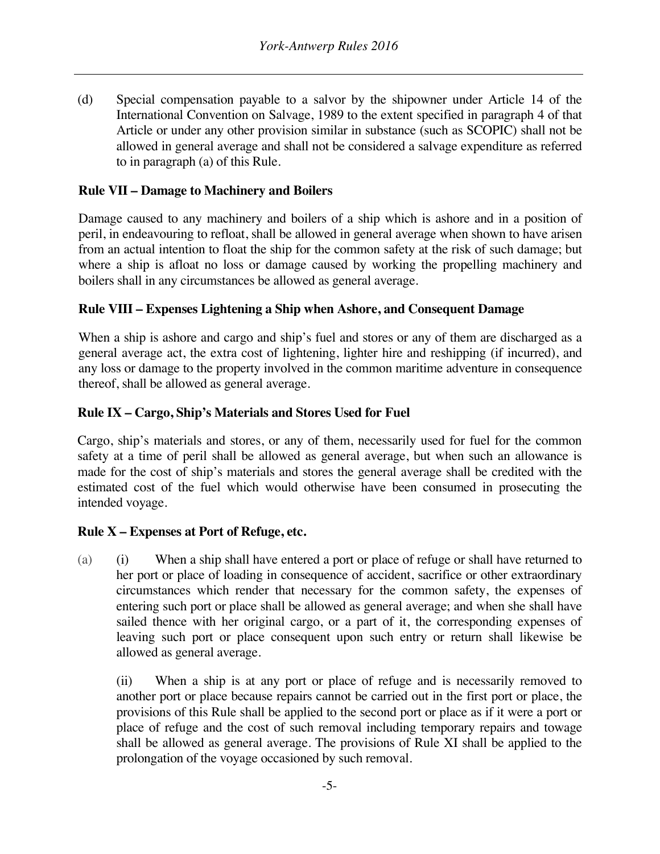(d) Special compensation payable to a salvor by the shipowner under Article 14 of the International Convention on Salvage, 1989 to the extent specified in paragraph 4 of that Article or under any other provision similar in substance (such as SCOPIC) shall not be allowed in general average and shall not be considered a salvage expenditure as referred to in paragraph (a) of this Rule.

# **Rule VII – Damage to Machinery and Boilers**

Damage caused to any machinery and boilers of a ship which is ashore and in a position of peril, in endeavouring to refloat, shall be allowed in general average when shown to have arisen from an actual intention to float the ship for the common safety at the risk of such damage; but where a ship is afloat no loss or damage caused by working the propelling machinery and boilers shall in any circumstances be allowed as general average.

# **Rule VIII – Expenses Lightening a Ship when Ashore, and Consequent Damage**

When a ship is ashore and cargo and ship's fuel and stores or any of them are discharged as a general average act, the extra cost of lightening, lighter hire and reshipping (if incurred), and any loss or damage to the property involved in the common maritime adventure in consequence thereof, shall be allowed as general average.

# **Rule IX – Cargo, Ship's Materials and Stores Used for Fuel**

Cargo, ship's materials and stores, or any of them, necessarily used for fuel for the common safety at a time of peril shall be allowed as general average, but when such an allowance is made for the cost of ship's materials and stores the general average shall be credited with the estimated cost of the fuel which would otherwise have been consumed in prosecuting the intended voyage.

# **Rule X – Expenses at Port of Refuge, etc.**

(a) (i) When a ship shall have entered a port or place of refuge or shall have returned to her port or place of loading in consequence of accident, sacrifice or other extraordinary circumstances which render that necessary for the common safety, the expenses of entering such port or place shall be allowed as general average; and when she shall have sailed thence with her original cargo, or a part of it, the corresponding expenses of leaving such port or place consequent upon such entry or return shall likewise be allowed as general average.

 (ii) When a ship is at any port or place of refuge and is necessarily removed to another port or place because repairs cannot be carried out in the first port or place, the provisions of this Rule shall be applied to the second port or place as if it were a port or place of refuge and the cost of such removal including temporary repairs and towage shall be allowed as general average. The provisions of Rule XI shall be applied to the prolongation of the voyage occasioned by such removal.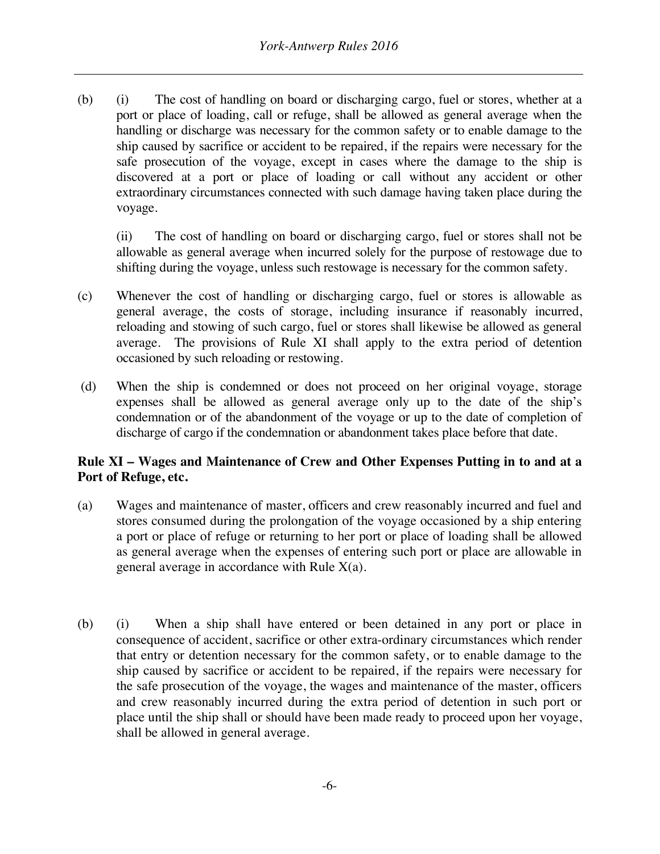(b) (i) The cost of handling on board or discharging cargo, fuel or stores, whether at a port or place of loading, call or refuge, shall be allowed as general average when the handling or discharge was necessary for the common safety or to enable damage to the ship caused by sacrifice or accident to be repaired, if the repairs were necessary for the safe prosecution of the voyage, except in cases where the damage to the ship is discovered at a port or place of loading or call without any accident or other extraordinary circumstances connected with such damage having taken place during the voyage.

 (ii) The cost of handling on board or discharging cargo, fuel or stores shall not be allowable as general average when incurred solely for the purpose of restowage due to shifting during the voyage, unless such restowage is necessary for the common safety.

- (c) Whenever the cost of handling or discharging cargo, fuel or stores is allowable as general average, the costs of storage, including insurance if reasonably incurred, reloading and stowing of such cargo, fuel or stores shall likewise be allowed as general average. The provisions of Rule XI shall apply to the extra period of detention occasioned by such reloading or restowing.
- (d) When the ship is condemned or does not proceed on her original voyage, storage expenses shall be allowed as general average only up to the date of the ship's condemnation or of the abandonment of the voyage or up to the date of completion of discharge of cargo if the condemnation or abandonment takes place before that date.

# **Rule XI – Wages and Maintenance of Crew and Other Expenses Putting in to and at a Port of Refuge, etc.**

- (a) Wages and maintenance of master, officers and crew reasonably incurred and fuel and stores consumed during the prolongation of the voyage occasioned by a ship entering a port or place of refuge or returning to her port or place of loading shall be allowed as general average when the expenses of entering such port or place are allowable in general average in accordance with Rule  $X(a)$ .
- (b) (i) When a ship shall have entered or been detained in any port or place in consequence of accident, sacrifice or other extra-ordinary circumstances which render that entry or detention necessary for the common safety, or to enable damage to the ship caused by sacrifice or accident to be repaired, if the repairs were necessary for the safe prosecution of the voyage, the wages and maintenance of the master, officers and crew reasonably incurred during the extra period of detention in such port or place until the ship shall or should have been made ready to proceed upon her voyage, shall be allowed in general average.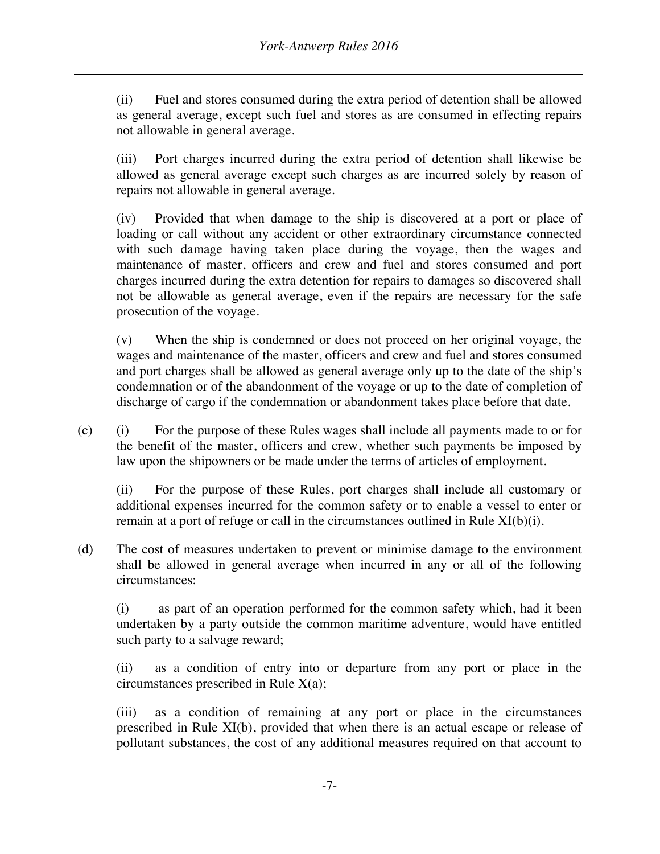(ii) Fuel and stores consumed during the extra period of detention shall be allowed as general average, except such fuel and stores as are consumed in effecting repairs not allowable in general average.

 (iii) Port charges incurred during the extra period of detention shall likewise be allowed as general average except such charges as are incurred solely by reason of repairs not allowable in general average.

 (iv) Provided that when damage to the ship is discovered at a port or place of loading or call without any accident or other extraordinary circumstance connected with such damage having taken place during the voyage, then the wages and maintenance of master, officers and crew and fuel and stores consumed and port charges incurred during the extra detention for repairs to damages so discovered shall not be allowable as general average, even if the repairs are necessary for the safe prosecution of the voyage.

 (v) When the ship is condemned or does not proceed on her original voyage, the wages and maintenance of the master, officers and crew and fuel and stores consumed and port charges shall be allowed as general average only up to the date of the ship's condemnation or of the abandonment of the voyage or up to the date of completion of discharge of cargo if the condemnation or abandonment takes place before that date.

(c) (i) For the purpose of these Rules wages shall include all payments made to or for the benefit of the master, officers and crew, whether such payments be imposed by law upon the shipowners or be made under the terms of articles of employment.

 (ii) For the purpose of these Rules, port charges shall include all customary or additional expenses incurred for the common safety or to enable a vessel to enter or remain at a port of refuge or call in the circumstances outlined in Rule XI(b)(i).

(d) The cost of measures undertaken to prevent or minimise damage to the environment shall be allowed in general average when incurred in any or all of the following circumstances:

 (i) as part of an operation performed for the common safety which, had it been undertaken by a party outside the common maritime adventure, would have entitled such party to a salvage reward;

 (ii) as a condition of entry into or departure from any port or place in the circumstances prescribed in Rule X(a);

 (iii) as a condition of remaining at any port or place in the circumstances prescribed in Rule XI(b), provided that when there is an actual escape or release of pollutant substances, the cost of any additional measures required on that account to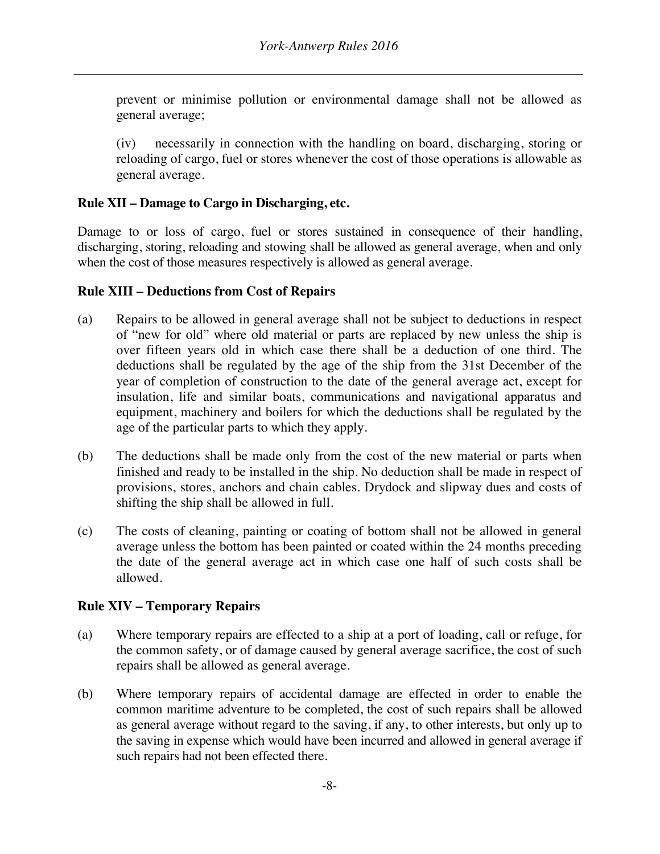prevent or minimise pollution or environmental damage shall not be allowed as general average;

 (iv) necessarily in connection with the handling on board, discharging, storing or reloading of cargo, fuel or stores whenever the cost of those operations is allowable as general average.

#### **Rule XII – Damage to Cargo in Discharging, etc.**

Damage to or loss of cargo, fuel or stores sustained in consequence of their handling, discharging, storing, reloading and stowing shall be allowed as general average, when and only when the cost of those measures respectively is allowed as general average.

### **Rule XIII – Deductions from Cost of Repairs**

- (a) Repairs to be allowed in general average shall not be subject to deductions in respect of "new for old" where old material or parts are replaced by new unless the ship is over fifteen years old in which case there shall be a deduction of one third. The deductions shall be regulated by the age of the ship from the 31st December of the year of completion of construction to the date of the general average act, except for insulation, life and similar boats, communications and navigational apparatus and equipment, machinery and boilers for which the deductions shall be regulated by the age of the particular parts to which they apply.
- (b) The deductions shall be made only from the cost of the new material or parts when finished and ready to be installed in the ship. No deduction shall be made in respect of provisions, stores, anchors and chain cables. Drydock and slipway dues and costs of shifting the ship shall be allowed in full.
- (c) The costs of cleaning, painting or coating of bottom shall not be allowed in general average unless the bottom has been painted or coated within the 24 months preceding the date of the general average act in which case one half of such costs shall be allowed.

# **Rule XIV – Temporary Repairs**

- (a) Where temporary repairs are effected to a ship at a port of loading, call or refuge, for the common safety, or of damage caused by general average sacrifice, the cost of such repairs shall be allowed as general average.
- (b) Where temporary repairs of accidental damage are effected in order to enable the common maritime adventure to be completed, the cost of such repairs shall be allowed as general average without regard to the saving, if any, to other interests, but only up to the saving in expense which would have been incurred and allowed in general average if such repairs had not been effected there.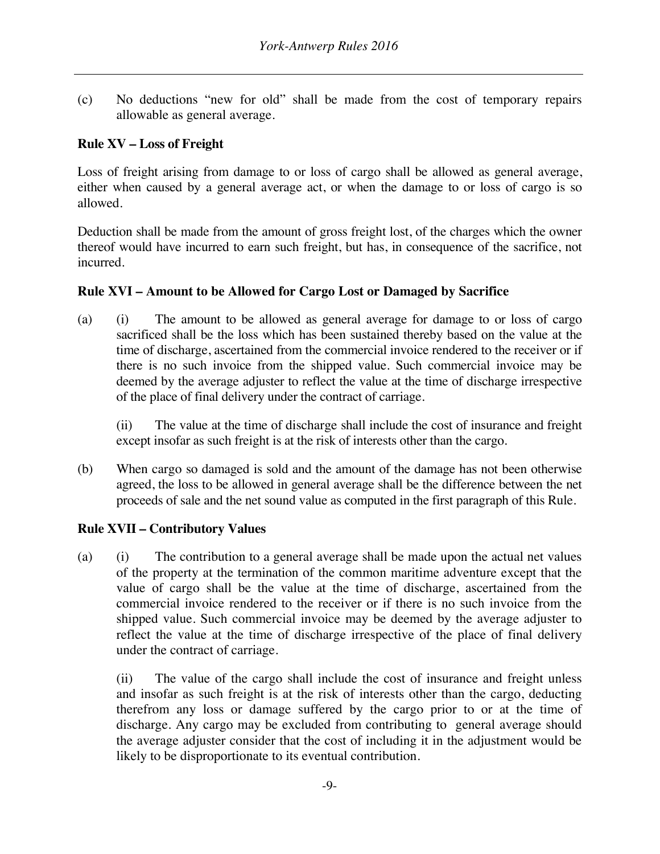(c) No deductions "new for old" shall be made from the cost of temporary repairs allowable as general average.

# **Rule XV – Loss of Freight**

Loss of freight arising from damage to or loss of cargo shall be allowed as general average, either when caused by a general average act, or when the damage to or loss of cargo is so allowed.

Deduction shall be made from the amount of gross freight lost, of the charges which the owner thereof would have incurred to earn such freight, but has, in consequence of the sacrifice, not incurred.

### **Rule XVI – Amount to be Allowed for Cargo Lost or Damaged by Sacrifice**

(a) (i) The amount to be allowed as general average for damage to or loss of cargo sacrificed shall be the loss which has been sustained thereby based on the value at the time of discharge, ascertained from the commercial invoice rendered to the receiver or if there is no such invoice from the shipped value. Such commercial invoice may be deemed by the average adjuster to reflect the value at the time of discharge irrespective of the place of final delivery under the contract of carriage.

 (ii) The value at the time of discharge shall include the cost of insurance and freight except insofar as such freight is at the risk of interests other than the cargo.

(b) When cargo so damaged is sold and the amount of the damage has not been otherwise agreed, the loss to be allowed in general average shall be the difference between the net proceeds of sale and the net sound value as computed in the first paragraph of this Rule.

# **Rule XVII – Contributory Values**

(a) (i) The contribution to a general average shall be made upon the actual net values of the property at the termination of the common maritime adventure except that the value of cargo shall be the value at the time of discharge, ascertained from the commercial invoice rendered to the receiver or if there is no such invoice from the shipped value. Such commercial invoice may be deemed by the average adjuster to reflect the value at the time of discharge irrespective of the place of final delivery under the contract of carriage.

 (ii) The value of the cargo shall include the cost of insurance and freight unless and insofar as such freight is at the risk of interests other than the cargo, deducting therefrom any loss or damage suffered by the cargo prior to or at the time of discharge. Any cargo may be excluded from contributing to general average should the average adjuster consider that the cost of including it in the adjustment would be likely to be disproportionate to its eventual contribution.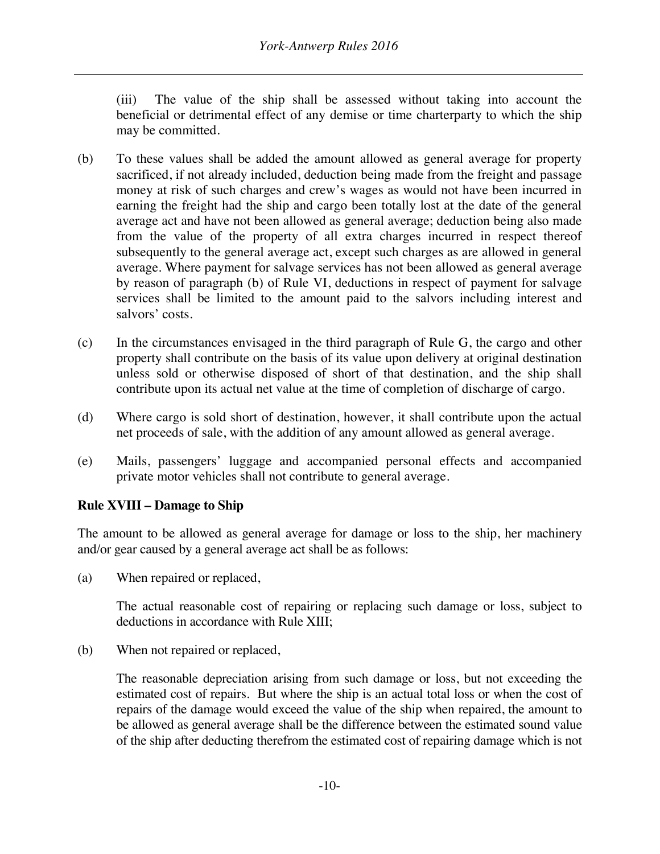(iii) The value of the ship shall be assessed without taking into account the beneficial or detrimental effect of any demise or time charterparty to which the ship may be committed.

- (b) To these values shall be added the amount allowed as general average for property sacrificed, if not already included, deduction being made from the freight and passage money at risk of such charges and crew's wages as would not have been incurred in earning the freight had the ship and cargo been totally lost at the date of the general average act and have not been allowed as general average; deduction being also made from the value of the property of all extra charges incurred in respect thereof subsequently to the general average act, except such charges as are allowed in general average. Where payment for salvage services has not been allowed as general average by reason of paragraph (b) of Rule VI, deductions in respect of payment for salvage services shall be limited to the amount paid to the salvors including interest and salvors' costs.
- (c) In the circumstances envisaged in the third paragraph of Rule G, the cargo and other property shall contribute on the basis of its value upon delivery at original destination unless sold or otherwise disposed of short of that destination, and the ship shall contribute upon its actual net value at the time of completion of discharge of cargo.
- (d) Where cargo is sold short of destination, however, it shall contribute upon the actual net proceeds of sale, with the addition of any amount allowed as general average.
- (e) Mails, passengers' luggage and accompanied personal effects and accompanied private motor vehicles shall not contribute to general average.

# **Rule XVIII – Damage to Ship**

The amount to be allowed as general average for damage or loss to the ship, her machinery and/or gear caused by a general average act shall be as follows:

(a) When repaired or replaced,

The actual reasonable cost of repairing or replacing such damage or loss, subject to deductions in accordance with Rule XIII;

(b) When not repaired or replaced,

The reasonable depreciation arising from such damage or loss, but not exceeding the estimated cost of repairs. But where the ship is an actual total loss or when the cost of repairs of the damage would exceed the value of the ship when repaired, the amount to be allowed as general average shall be the difference between the estimated sound value of the ship after deducting therefrom the estimated cost of repairing damage which is not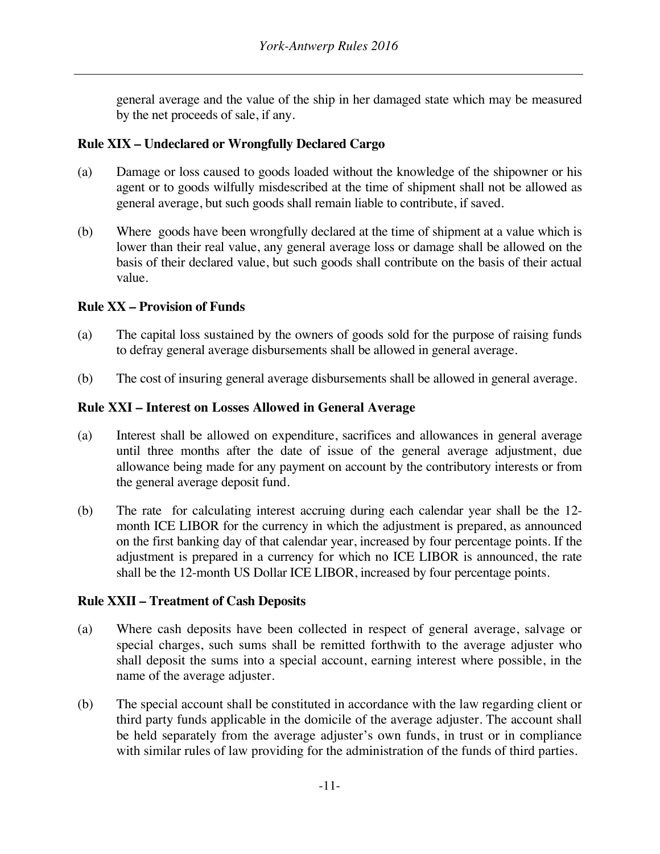general average and the value of the ship in her damaged state which may be measured by the net proceeds of sale, if any.

# **Rule XIX – Undeclared or Wrongfully Declared Cargo**

- (a) Damage or loss caused to goods loaded without the knowledge of the shipowner or his agent or to goods wilfully misdescribed at the time of shipment shall not be allowed as general average, but such goods shall remain liable to contribute, if saved.
- (b) Where goods have been wrongfully declared at the time of shipment at a value which is lower than their real value, any general average loss or damage shall be allowed on the basis of their declared value, but such goods shall contribute on the basis of their actual value.

# **Rule XX – Provision of Funds**

- (a) The capital loss sustained by the owners of goods sold for the purpose of raising funds to defray general average disbursements shall be allowed in general average.
- (b) The cost of insuring general average disbursements shall be allowed in general average.

# **Rule XXI – Interest on Losses Allowed in General Average**

- (a) Interest shall be allowed on expenditure, sacrifices and allowances in general average until three months after the date of issue of the general average adjustment, due allowance being made for any payment on account by the contributory interests or from the general average deposit fund.
- (b) The rate for calculating interest accruing during each calendar year shall be the 12 month ICE LIBOR for the currency in which the adjustment is prepared, as announced on the first banking day of that calendar year, increased by four percentage points. If the adjustment is prepared in a currency for which no ICE LIBOR is announced, the rate shall be the 12-month US Dollar ICE LIBOR, increased by four percentage points.

# **Rule XXII – Treatment of Cash Deposits**

- (a) Where cash deposits have been collected in respect of general average, salvage or special charges, such sums shall be remitted forthwith to the average adjuster who shall deposit the sums into a special account, earning interest where possible, in the name of the average adjuster.
- (b) The special account shall be constituted in accordance with the law regarding client or third party funds applicable in the domicile of the average adjuster. The account shall be held separately from the average adjuster's own funds, in trust or in compliance with similar rules of law providing for the administration of the funds of third parties.